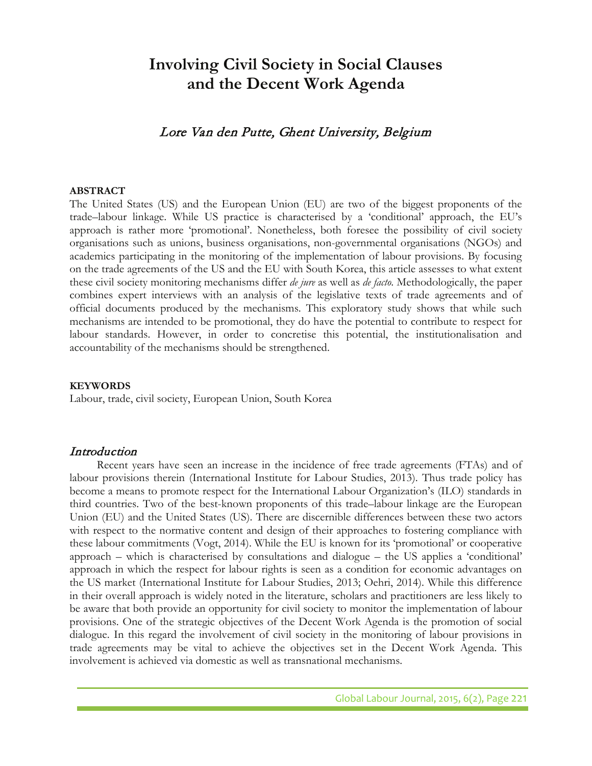# **Involving Civil Society in Social Clauses and the Decent Work Agenda**

# Lore Van den Putte, Ghent University, Belgium

#### **ABSTRACT**

The United States (US) and the European Union (EU) are two of the biggest proponents of the trade–labour linkage. While US practice is characterised by a 'conditional' approach, the EU's approach is rather more 'promotional'. Nonetheless, both foresee the possibility of civil society organisations such as unions, business organisations, non-governmental organisations (NGOs) and academics participating in the monitoring of the implementation of labour provisions. By focusing on the trade agreements of the US and the EU with South Korea, this article assesses to what extent these civil society monitoring mechanisms differ *de jure* as well as *de facto*. Methodologically, the paper combines expert interviews with an analysis of the legislative texts of trade agreements and of official documents produced by the mechanisms. This exploratory study shows that while such mechanisms are intended to be promotional, they do have the potential to contribute to respect for labour standards. However, in order to concretise this potential, the institutionalisation and accountability of the mechanisms should be strengthened.

#### **KEYWORDS**

Labour, trade, civil society, European Union, South Korea

### Introduction

Recent years have seen an increase in the incidence of free trade agreements (FTAs) and of labour provisions therein (International Institute for Labour Studies, 2013). Thus trade policy has become a means to promote respect for the International Labour Organization's (ILO) standards in third countries. Two of the best-known proponents of this trade–labour linkage are the European Union (EU) and the United States (US). There are discernible differences between these two actors with respect to the normative content and design of their approaches to fostering compliance with these labour commitments (Vogt, 2014). While the EU is known for its 'promotional' or cooperative approach – which is characterised by consultations and dialogue – the US applies a 'conditional' approach in which the respect for labour rights is seen as a condition for economic advantages on the US market (International Institute for Labour Studies, 2013; Oehri, 2014). While this difference in their overall approach is widely noted in the literature, scholars and practitioners are less likely to be aware that both provide an opportunity for civil society to monitor the implementation of labour provisions. One of the strategic objectives of the Decent Work Agenda is the promotion of social dialogue. In this regard the involvement of civil society in the monitoring of labour provisions in trade agreements may be vital to achieve the objectives set in the Decent Work Agenda. This involvement is achieved via domestic as well as transnational mechanisms.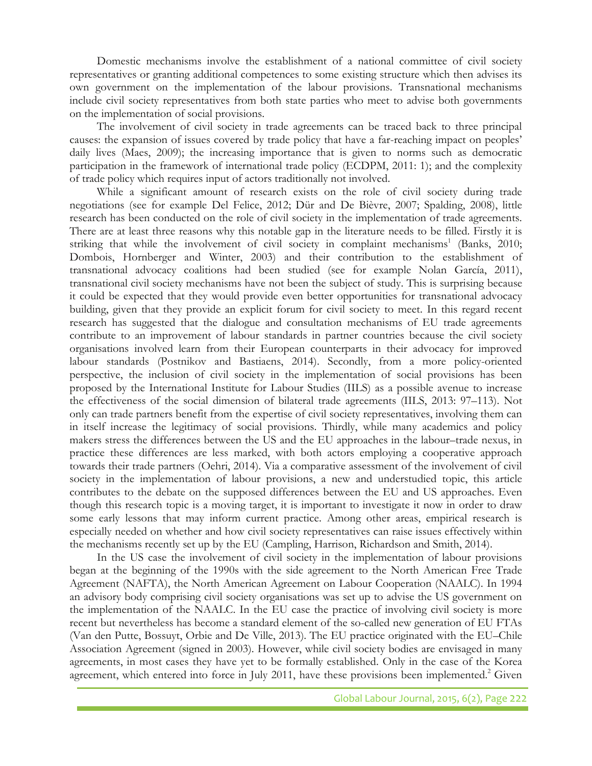Domestic mechanisms involve the establishment of a national committee of civil society representatives or granting additional competences to some existing structure which then advises its own government on the implementation of the labour provisions. Transnational mechanisms include civil society representatives from both state parties who meet to advise both governments on the implementation of social provisions.

The involvement of civil society in trade agreements can be traced back to three principal causes: the expansion of issues covered by trade policy that have a far-reaching impact on peoples' daily lives (Maes, 2009); the increasing importance that is given to norms such as democratic participation in the framework of international trade policy (ECDPM, 2011: 1); and the complexity of trade policy which requires input of actors traditionally not involved.

While a significant amount of research exists on the role of civil society during trade negotiations (see for example Del Felice, 2012; Dür and De Bièvre, 2007; Spalding, 2008), little research has been conducted on the role of civil society in the implementation of trade agreements. There are at least three reasons why this notable gap in the literature needs to be filled. Firstly it is striking that while the involvement of civil society in complaint mechanisms<sup>1</sup> (Banks, 2010; Dombois, Hornberger and Winter, 2003) and their contribution to the establishment of transnational advocacy coalitions had been studied (see for example Nolan García, 2011), transnational civil society mechanisms have not been the subject of study. This is surprising because it could be expected that they would provide even better opportunities for transnational advocacy building, given that they provide an explicit forum for civil society to meet. In this regard recent research has suggested that the dialogue and consultation mechanisms of EU trade agreements contribute to an improvement of labour standards in partner countries because the civil society organisations involved learn from their European counterparts in their advocacy for improved labour standards (Postnikov and Bastiaens, 2014). Secondly, from a more policy-oriented perspective, the inclusion of civil society in the implementation of social provisions has been proposed by the International Institute for Labour Studies (IILS) as a possible avenue to increase the effectiveness of the social dimension of bilateral trade agreements (IILS, 2013: 97–113). Not only can trade partners benefit from the expertise of civil society representatives, involving them can in itself increase the legitimacy of social provisions. Thirdly, while many academics and policy makers stress the differences between the US and the EU approaches in the labour–trade nexus, in practice these differences are less marked, with both actors employing a cooperative approach towards their trade partners (Oehri, 2014). Via a comparative assessment of the involvement of civil society in the implementation of labour provisions, a new and understudied topic, this article contributes to the debate on the supposed differences between the EU and US approaches. Even though this research topic is a moving target, it is important to investigate it now in order to draw some early lessons that may inform current practice. Among other areas, empirical research is especially needed on whether and how civil society representatives can raise issues effectively within the mechanisms recently set up by the EU (Campling, Harrison, Richardson and Smith, 2014).

In the US case the involvement of civil society in the implementation of labour provisions began at the beginning of the 1990s with the side agreement to the North American Free Trade Agreement (NAFTA), the North American Agreement on Labour Cooperation (NAALC). In 1994 an advisory body comprising civil society organisations was set up to advise the US government on the implementation of the NAALC. In the EU case the practice of involving civil society is more recent but nevertheless has become a standard element of the so-called new generation of EU FTAs (Van den Putte, Bossuyt, Orbie and De Ville, 2013). The EU practice originated with the EU–Chile Association Agreement (signed in 2003). However, while civil society bodies are envisaged in many agreements, in most cases they have yet to be formally established. Only in the case of the Korea agreement, which entered into force in July 2011, have these provisions been implemented.<sup>2</sup> Given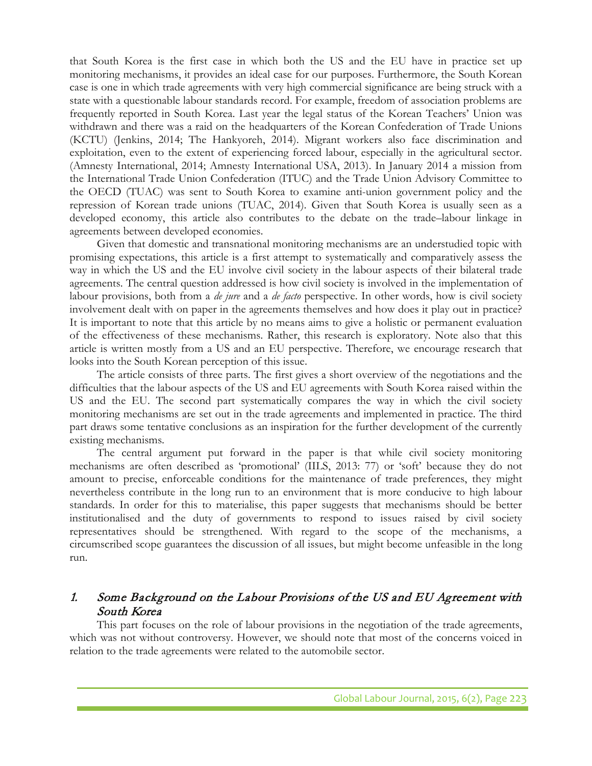that South Korea is the first case in which both the US and the EU have in practice set up monitoring mechanisms, it provides an ideal case for our purposes. Furthermore, the South Korean case is one in which trade agreements with very high commercial significance are being struck with a state with a questionable labour standards record. For example, freedom of association problems are frequently reported in South Korea. Last year the legal status of the Korean Teachers' Union was withdrawn and there was a raid on the headquarters of the Korean Confederation of Trade Unions (KCTU) (Jenkins, 2014; The Hankyoreh, 2014). Migrant workers also face discrimination and exploitation, even to the extent of experiencing forced labour, especially in the agricultural sector. (Amnesty International, 2014; Amnesty International USA, 2013). In January 2014 a mission from the International Trade Union Confederation (ITUC) and the Trade Union Advisory Committee to the OECD (TUAC) was sent to South Korea to examine anti-union government policy and the repression of Korean trade unions (TUAC, 2014). Given that South Korea is usually seen as a developed economy, this article also contributes to the debate on the trade–labour linkage in agreements between developed economies.

Given that domestic and transnational monitoring mechanisms are an understudied topic with promising expectations, this article is a first attempt to systematically and comparatively assess the way in which the US and the EU involve civil society in the labour aspects of their bilateral trade agreements. The central question addressed is how civil society is involved in the implementation of labour provisions, both from a *de jure* and a *de facto* perspective. In other words, how is civil society involvement dealt with on paper in the agreements themselves and how does it play out in practice? It is important to note that this article by no means aims to give a holistic or permanent evaluation of the effectiveness of these mechanisms. Rather, this research is exploratory. Note also that this article is written mostly from a US and an EU perspective. Therefore, we encourage research that looks into the South Korean perception of this issue.

The article consists of three parts. The first gives a short overview of the negotiations and the difficulties that the labour aspects of the US and EU agreements with South Korea raised within the US and the EU. The second part systematically compares the way in which the civil society monitoring mechanisms are set out in the trade agreements and implemented in practice. The third part draws some tentative conclusions as an inspiration for the further development of the currently existing mechanisms.

The central argument put forward in the paper is that while civil society monitoring mechanisms are often described as 'promotional' (IILS, 2013: 77) or 'soft' because they do not amount to precise, enforceable conditions for the maintenance of trade preferences, they might nevertheless contribute in the long run to an environment that is more conducive to high labour standards. In order for this to materialise, this paper suggests that mechanisms should be better institutionalised and the duty of governments to respond to issues raised by civil society representatives should be strengthened. With regard to the scope of the mechanisms, a circumscribed scope guarantees the discussion of all issues, but might become unfeasible in the long run.

# 1. Some Background on the Labour Provisions of the US and EU Agreement with South Korea

This part focuses on the role of labour provisions in the negotiation of the trade agreements, which was not without controversy. However, we should note that most of the concerns voiced in relation to the trade agreements were related to the automobile sector.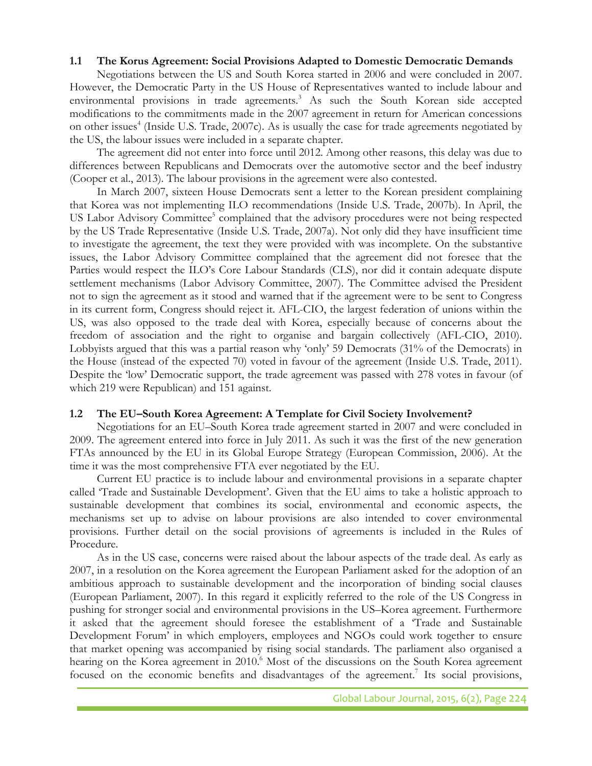### **1.1 The Korus Agreement: Social Provisions Adapted to Domestic Democratic Demands**

Negotiations between the US and South Korea started in 2006 and were concluded in 2007. However, the Democratic Party in the US House of Representatives wanted to include labour and environmental provisions in trade agreements.<sup>3</sup> As such the South Korean side accepted modifications to the commitments made in the 2007 agreement in return for American concessions on other issues<sup>4</sup> (Inside U.S. Trade, 2007c). As is usually the case for trade agreements negotiated by the US, the labour issues were included in a separate chapter.

The agreement did not enter into force until 2012. Among other reasons, this delay was due to differences between Republicans and Democrats over the automotive sector and the beef industry (Cooper et al., 2013). The labour provisions in the agreement were also contested.

In March 2007, sixteen House Democrats sent a letter to the Korean president complaining that Korea was not implementing ILO recommendations (Inside U.S. Trade, 2007b). In April, the US Labor Advisory Committee<sup>5</sup> complained that the advisory procedures were not being respected by the US Trade Representative (Inside U.S. Trade, 2007a). Not only did they have insufficient time to investigate the agreement, the text they were provided with was incomplete. On the substantive issues, the Labor Advisory Committee complained that the agreement did not foresee that the Parties would respect the ILO's Core Labour Standards (CLS), nor did it contain adequate dispute settlement mechanisms (Labor Advisory Committee, 2007). The Committee advised the President not to sign the agreement as it stood and warned that if the agreement were to be sent to Congress in its current form, Congress should reject it. AFL-CIO, the largest federation of unions within the US, was also opposed to the trade deal with Korea, especially because of concerns about the freedom of association and the right to organise and bargain collectively (AFL-CIO, 2010). Lobbyists argued that this was a partial reason why 'only' 59 Democrats (31% of the Democrats) in the House (instead of the expected 70) voted in favour of the agreement (Inside U.S. Trade, 2011). Despite the 'low' Democratic support, the trade agreement was passed with 278 votes in favour (of which 219 were Republican) and 151 against.

# **1.2 The EU–South Korea Agreement: A Template for Civil Society Involvement?**

Negotiations for an EU–South Korea trade agreement started in 2007 and were concluded in 2009. The agreement entered into force in July 2011. As such it was the first of the new generation FTAs announced by the EU in its Global Europe Strategy (European Commission, 2006). At the time it was the most comprehensive FTA ever negotiated by the EU.

Current EU practice is to include labour and environmental provisions in a separate chapter called 'Trade and Sustainable Development'. Given that the EU aims to take a holistic approach to sustainable development that combines its social, environmental and economic aspects, the mechanisms set up to advise on labour provisions are also intended to cover environmental provisions. Further detail on the social provisions of agreements is included in the Rules of Procedure.

As in the US case, concerns were raised about the labour aspects of the trade deal. As early as 2007, in a resolution on the Korea agreement the European Parliament asked for the adoption of an ambitious approach to sustainable development and the incorporation of binding social clauses (European Parliament, 2007). In this regard it explicitly referred to the role of the US Congress in pushing for stronger social and environmental provisions in the US–Korea agreement. Furthermore it asked that the agreement should foresee the establishment of a 'Trade and Sustainable Development Forum' in which employers, employees and NGOs could work together to ensure that market opening was accompanied by rising social standards. The parliament also organised a hearing on the Korea agreement in 2010.<sup>6</sup> Most of the discussions on the South Korea agreement focused on the economic benefits and disadvantages of the agreement.<sup>7</sup> Its social provisions,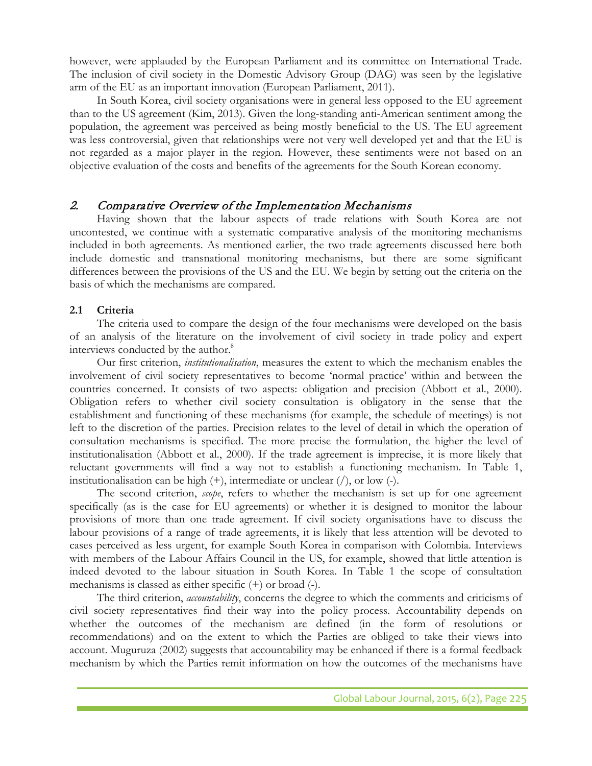however, were applauded by the European Parliament and its committee on International Trade. The inclusion of civil society in the Domestic Advisory Group (DAG) was seen by the legislative arm of the EU as an important innovation (European Parliament, 2011).

In South Korea, civil society organisations were in general less opposed to the EU agreement than to the US agreement (Kim, 2013). Given the long-standing anti-American sentiment among the population, the agreement was perceived as being mostly beneficial to the US. The EU agreement was less controversial, given that relationships were not very well developed yet and that the EU is not regarded as a major player in the region. However, these sentiments were not based on an objective evaluation of the costs and benefits of the agreements for the South Korean economy.

# 2. Comparative Overview of the Implementation Mechanisms

Having shown that the labour aspects of trade relations with South Korea are not uncontested, we continue with a systematic comparative analysis of the monitoring mechanisms included in both agreements. As mentioned earlier, the two trade agreements discussed here both include domestic and transnational monitoring mechanisms, but there are some significant differences between the provisions of the US and the EU. We begin by setting out the criteria on the basis of which the mechanisms are compared.

# **2.1 Criteria**

The criteria used to compare the design of the four mechanisms were developed on the basis of an analysis of the literature on the involvement of civil society in trade policy and expert interviews conducted by the author.<sup>8</sup>

Our first criterion, *institutionalisation*, measures the extent to which the mechanism enables the involvement of civil society representatives to become 'normal practice' within and between the countries concerned. It consists of two aspects: obligation and precision (Abbott et al., 2000). Obligation refers to whether civil society consultation is obligatory in the sense that the establishment and functioning of these mechanisms (for example, the schedule of meetings) is not left to the discretion of the parties. Precision relates to the level of detail in which the operation of consultation mechanisms is specified. The more precise the formulation, the higher the level of institutionalisation (Abbott et al., 2000). If the trade agreement is imprecise, it is more likely that reluctant governments will find a way not to establish a functioning mechanism. In Table 1, institutionalisation can be high  $(+)$ , intermediate or unclear  $($   $)$ , or low  $(-)$ .

The second criterion, *scope*, refers to whether the mechanism is set up for one agreement specifically (as is the case for EU agreements) or whether it is designed to monitor the labour provisions of more than one trade agreement. If civil society organisations have to discuss the labour provisions of a range of trade agreements, it is likely that less attention will be devoted to cases perceived as less urgent, for example South Korea in comparison with Colombia. Interviews with members of the Labour Affairs Council in the US, for example, showed that little attention is indeed devoted to the labour situation in South Korea. In Table 1 the scope of consultation mechanisms is classed as either specific (+) or broad (-).

The third criterion, *accountability*, concerns the degree to which the comments and criticisms of civil society representatives find their way into the policy process. Accountability depends on whether the outcomes of the mechanism are defined (in the form of resolutions or recommendations) and on the extent to which the Parties are obliged to take their views into account. Muguruza (2002) suggests that accountability may be enhanced if there is a formal feedback mechanism by which the Parties remit information on how the outcomes of the mechanisms have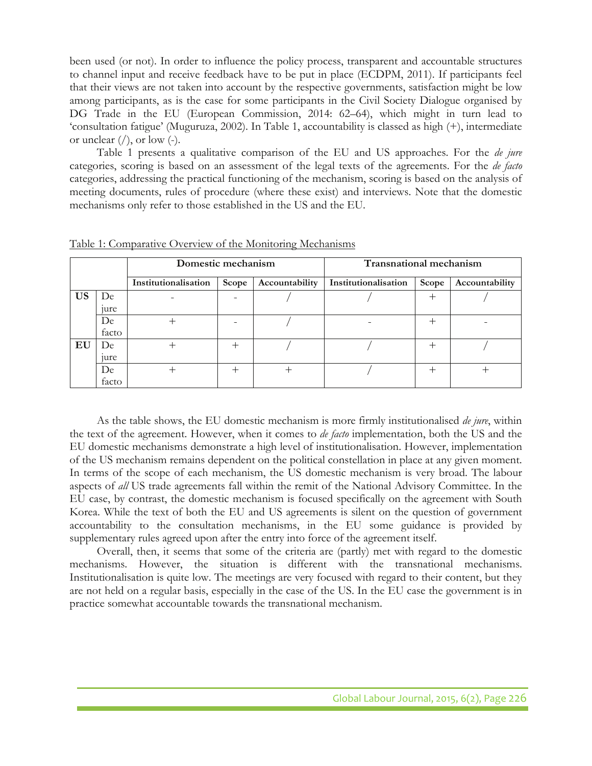been used (or not). In order to influence the policy process, transparent and accountable structures to channel input and receive feedback have to be put in place (ECDPM, 2011). If participants feel that their views are not taken into account by the respective governments, satisfaction might be low among participants, as is the case for some participants in the Civil Society Dialogue organised by DG Trade in the EU (European Commission, 2014: 62–64), which might in turn lead to 'consultation fatigue' (Muguruza, 2002). In Table 1, accountability is classed as high (+), intermediate or unclear  $\langle \cdot \rangle$ , or low  $\langle \cdot \rangle$ .

Table 1 presents a qualitative comparison of the EU and US approaches. For the *de jure* categories, scoring is based on an assessment of the legal texts of the agreements. For the *de facto* categories, addressing the practical functioning of the mechanism, scoring is based on the analysis of meeting documents, rules of procedure (where these exist) and interviews. Note that the domestic mechanisms only refer to those established in the US and the EU.

|           |                  | Domestic mechanism   |        |                | <b>Transnational mechanism</b> |       |                |
|-----------|------------------|----------------------|--------|----------------|--------------------------------|-------|----------------|
|           |                  | Institutionalisation | Scope  | Accountability | Institutionalisation           | Scope | Accountability |
| <b>US</b> | De               |                      |        |                |                                |       |                |
|           | <sub>1</sub> ure |                      |        |                |                                |       |                |
|           | De               |                      |        |                |                                |       |                |
|           | facto            |                      |        |                |                                |       |                |
| EU        | De               |                      | $^{+}$ |                |                                |       |                |
|           | <sub>1</sub> ure |                      |        |                |                                |       |                |
|           | De               |                      | $^{+}$ | ┿              |                                |       |                |
|           | facto            |                      |        |                |                                |       |                |

Table 1: Comparative Overview of the Monitoring Mechanisms

As the table shows, the EU domestic mechanism is more firmly institutionalised *de jure*, within the text of the agreement. However, when it comes to *de facto* implementation, both the US and the EU domestic mechanisms demonstrate a high level of institutionalisation. However, implementation of the US mechanism remains dependent on the political constellation in place at any given moment. In terms of the scope of each mechanism, the US domestic mechanism is very broad. The labour aspects of *all* US trade agreements fall within the remit of the National Advisory Committee. In the EU case, by contrast, the domestic mechanism is focused specifically on the agreement with South Korea. While the text of both the EU and US agreements is silent on the question of government accountability to the consultation mechanisms, in the EU some guidance is provided by supplementary rules agreed upon after the entry into force of the agreement itself.

Overall, then, it seems that some of the criteria are (partly) met with regard to the domestic mechanisms. However, the situation is different with the transnational mechanisms. Institutionalisation is quite low. The meetings are very focused with regard to their content, but they are not held on a regular basis, especially in the case of the US. In the EU case the government is in practice somewhat accountable towards the transnational mechanism.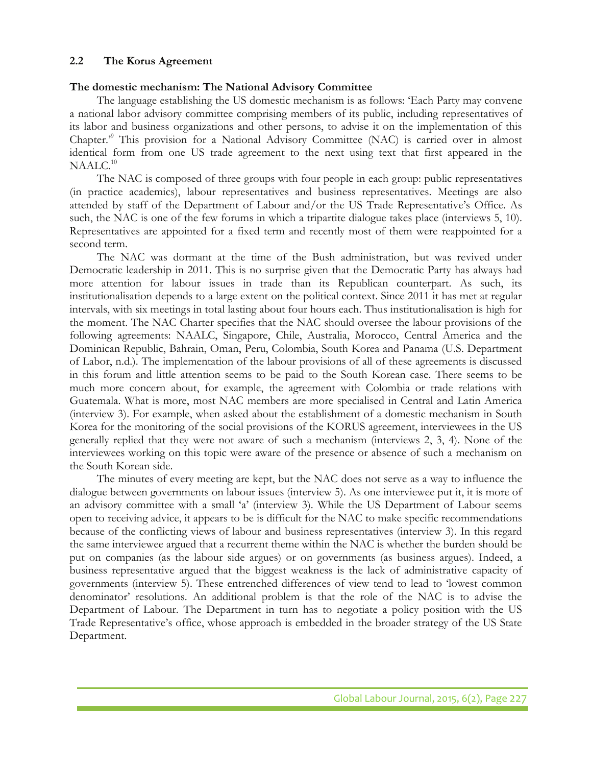## **2.2 The Korus Agreement**

### **The domestic mechanism: The National Advisory Committee**

The language establishing the US domestic mechanism is as follows: 'Each Party may convene a national labor advisory committee comprising members of its public, including representatives of its labor and business organizations and other persons, to advise it on the implementation of this Chapter.'9 This provision for a National Advisory Committee (NAC) is carried over in almost identical form from one US trade agreement to the next using text that first appeared in the  $NAALC.<sup>10</sup>$ 

The NAC is composed of three groups with four people in each group: public representatives (in practice academics), labour representatives and business representatives. Meetings are also attended by staff of the Department of Labour and/or the US Trade Representative's Office. As such, the NAC is one of the few forums in which a tripartite dialogue takes place (interviews 5, 10). Representatives are appointed for a fixed term and recently most of them were reappointed for a second term.

The NAC was dormant at the time of the Bush administration, but was revived under Democratic leadership in 2011. This is no surprise given that the Democratic Party has always had more attention for labour issues in trade than its Republican counterpart. As such, its institutionalisation depends to a large extent on the political context. Since 2011 it has met at regular intervals, with six meetings in total lasting about four hours each. Thus institutionalisation is high for the moment. The NAC Charter specifies that the NAC should oversee the labour provisions of the following agreements: NAALC, Singapore, Chile, Australia, Morocco, Central America and the Dominican Republic, Bahrain, Oman, Peru, Colombia, South Korea and Panama (U.S. Department of Labor, n.d.). The implementation of the labour provisions of all of these agreements is discussed in this forum and little attention seems to be paid to the South Korean case. There seems to be much more concern about, for example, the agreement with Colombia or trade relations with Guatemala. What is more, most NAC members are more specialised in Central and Latin America (interview 3). For example, when asked about the establishment of a domestic mechanism in South Korea for the monitoring of the social provisions of the KORUS agreement, interviewees in the US generally replied that they were not aware of such a mechanism (interviews 2, 3, 4). None of the interviewees working on this topic were aware of the presence or absence of such a mechanism on the South Korean side.

The minutes of every meeting are kept, but the NAC does not serve as a way to influence the dialogue between governments on labour issues (interview 5). As one interviewee put it, it is more of an advisory committee with a small 'a' (interview 3). While the US Department of Labour seems open to receiving advice, it appears to be is difficult for the NAC to make specific recommendations because of the conflicting views of labour and business representatives (interview 3). In this regard the same interviewee argued that a recurrent theme within the NAC is whether the burden should be put on companies (as the labour side argues) or on governments (as business argues). Indeed, a business representative argued that the biggest weakness is the lack of administrative capacity of governments (interview 5). These entrenched differences of view tend to lead to 'lowest common denominator' resolutions. An additional problem is that the role of the NAC is to advise the Department of Labour. The Department in turn has to negotiate a policy position with the US Trade Representative's office, whose approach is embedded in the broader strategy of the US State Department.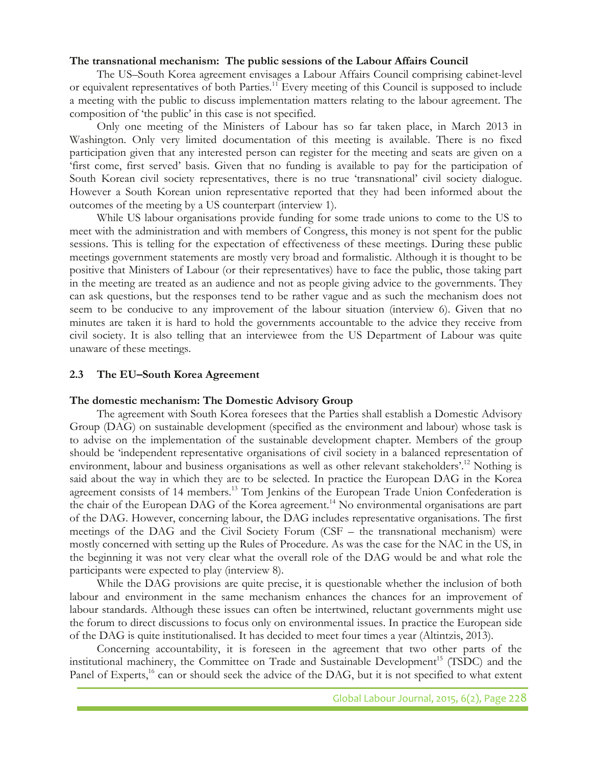#### **The transnational mechanism: The public sessions of the Labour Affairs Council**

The US–South Korea agreement envisages a Labour Affairs Council comprising cabinet-level or equivalent representatives of both Parties.11 Every meeting of this Council is supposed to include a meeting with the public to discuss implementation matters relating to the labour agreement. The composition of 'the public' in this case is not specified.

Only one meeting of the Ministers of Labour has so far taken place, in March 2013 in Washington. Only very limited documentation of this meeting is available. There is no fixed participation given that any interested person can register for the meeting and seats are given on a 'first come, first served' basis. Given that no funding is available to pay for the participation of South Korean civil society representatives, there is no true 'transnational' civil society dialogue. However a South Korean union representative reported that they had been informed about the outcomes of the meeting by a US counterpart (interview 1).

While US labour organisations provide funding for some trade unions to come to the US to meet with the administration and with members of Congress, this money is not spent for the public sessions. This is telling for the expectation of effectiveness of these meetings. During these public meetings government statements are mostly very broad and formalistic. Although it is thought to be positive that Ministers of Labour (or their representatives) have to face the public, those taking part in the meeting are treated as an audience and not as people giving advice to the governments. They can ask questions, but the responses tend to be rather vague and as such the mechanism does not seem to be conducive to any improvement of the labour situation (interview 6). Given that no minutes are taken it is hard to hold the governments accountable to the advice they receive from civil society. It is also telling that an interviewee from the US Department of Labour was quite unaware of these meetings.

#### **2.3 The EU–South Korea Agreement**

#### **The domestic mechanism: The Domestic Advisory Group**

The agreement with South Korea foresees that the Parties shall establish a Domestic Advisory Group (DAG) on sustainable development (specified as the environment and labour) whose task is to advise on the implementation of the sustainable development chapter. Members of the group should be 'independent representative organisations of civil society in a balanced representation of environment, labour and business organisations as well as other relevant stakeholders'.12 Nothing is said about the way in which they are to be selected. In practice the European DAG in the Korea agreement consists of 14 members.<sup>13</sup> Tom Jenkins of the European Trade Union Confederation is the chair of the European DAG of the Korea agreement.<sup>14</sup> No environmental organisations are part of the DAG. However, concerning labour, the DAG includes representative organisations. The first meetings of the DAG and the Civil Society Forum (CSF – the transnational mechanism) were mostly concerned with setting up the Rules of Procedure. As was the case for the NAC in the US, in the beginning it was not very clear what the overall role of the DAG would be and what role the participants were expected to play (interview 8).

While the DAG provisions are quite precise, it is questionable whether the inclusion of both labour and environment in the same mechanism enhances the chances for an improvement of labour standards. Although these issues can often be intertwined, reluctant governments might use the forum to direct discussions to focus only on environmental issues. In practice the European side of the DAG is quite institutionalised. It has decided to meet four times a year (Altintzis, 2013).

Concerning accountability, it is foreseen in the agreement that two other parts of the institutional machinery, the Committee on Trade and Sustainable Development<sup>15</sup> (TSDC) and the Panel of Experts,<sup>16</sup> can or should seek the advice of the DAG, but it is not specified to what extent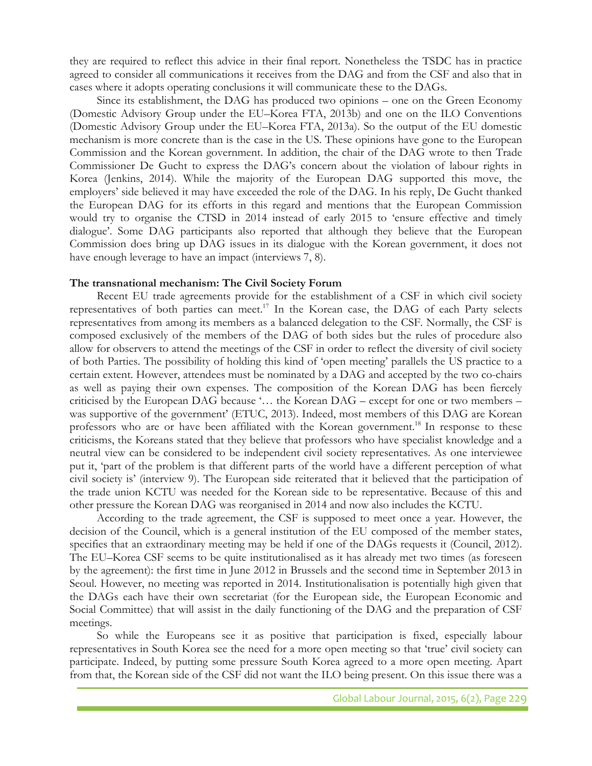they are required to reflect this advice in their final report. Nonetheless the TSDC has in practice agreed to consider all communications it receives from the DAG and from the CSF and also that in cases where it adopts operating conclusions it will communicate these to the DAGs.

Since its establishment, the DAG has produced two opinions – one on the Green Economy (Domestic Advisory Group under the EU–Korea FTA, 2013b) and one on the ILO Conventions (Domestic Advisory Group under the EU–Korea FTA, 2013a). So the output of the EU domestic mechanism is more concrete than is the case in the US. These opinions have gone to the European Commission and the Korean government. In addition, the chair of the DAG wrote to then Trade Commissioner De Gucht to express the DAG's concern about the violation of labour rights in Korea (Jenkins, 2014). While the majority of the European DAG supported this move, the employers' side believed it may have exceeded the role of the DAG. In his reply, De Gucht thanked the European DAG for its efforts in this regard and mentions that the European Commission would try to organise the CTSD in 2014 instead of early 2015 to 'ensure effective and timely dialogue'. Some DAG participants also reported that although they believe that the European Commission does bring up DAG issues in its dialogue with the Korean government, it does not have enough leverage to have an impact (interviews 7, 8).

#### **The transnational mechanism: The Civil Society Forum**

Recent EU trade agreements provide for the establishment of a CSF in which civil society representatives of both parties can meet.<sup>17</sup> In the Korean case, the DAG of each Party selects representatives from among its members as a balanced delegation to the CSF. Normally, the CSF is composed exclusively of the members of the DAG of both sides but the rules of procedure also allow for observers to attend the meetings of the CSF in order to reflect the diversity of civil society of both Parties. The possibility of holding this kind of 'open meeting' parallels the US practice to a certain extent. However, attendees must be nominated by a DAG and accepted by the two co-chairs as well as paying their own expenses. The composition of the Korean DAG has been fiercely criticised by the European DAG because '… the Korean DAG – except for one or two members – was supportive of the government' (ETUC, 2013). Indeed, most members of this DAG are Korean professors who are or have been affiliated with the Korean government.<sup>18</sup> In response to these criticisms, the Koreans stated that they believe that professors who have specialist knowledge and a neutral view can be considered to be independent civil society representatives. As one interviewee put it, 'part of the problem is that different parts of the world have a different perception of what civil society is' (interview 9). The European side reiterated that it believed that the participation of the trade union KCTU was needed for the Korean side to be representative. Because of this and other pressure the Korean DAG was reorganised in 2014 and now also includes the KCTU.

According to the trade agreement, the CSF is supposed to meet once a year. However, the decision of the Council, which is a general institution of the EU composed of the member states, specifies that an extraordinary meeting may be held if one of the DAGs requests it (Council, 2012). The EU–Korea CSF seems to be quite institutionalised as it has already met two times (as foreseen by the agreement): the first time in June 2012 in Brussels and the second time in September 2013 in Seoul. However, no meeting was reported in 2014. Institutionalisation is potentially high given that the DAGs each have their own secretariat (for the European side, the European Economic and Social Committee) that will assist in the daily functioning of the DAG and the preparation of CSF meetings.

So while the Europeans see it as positive that participation is fixed, especially labour representatives in South Korea see the need for a more open meeting so that 'true' civil society can participate. Indeed, by putting some pressure South Korea agreed to a more open meeting. Apart from that, the Korean side of the CSF did not want the ILO being present. On this issue there was a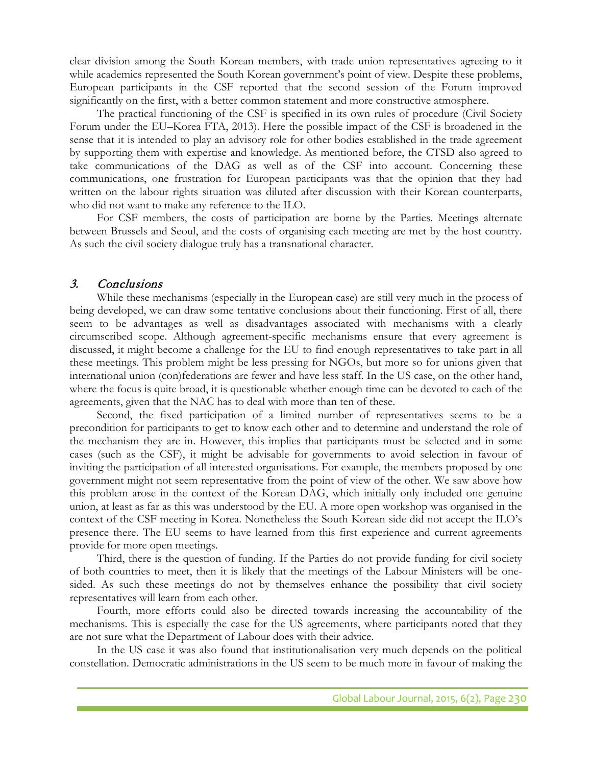clear division among the South Korean members, with trade union representatives agreeing to it while academics represented the South Korean government's point of view. Despite these problems, European participants in the CSF reported that the second session of the Forum improved significantly on the first, with a better common statement and more constructive atmosphere.

The practical functioning of the CSF is specified in its own rules of procedure (Civil Society Forum under the EU–Korea FTA, 2013). Here the possible impact of the CSF is broadened in the sense that it is intended to play an advisory role for other bodies established in the trade agreement by supporting them with expertise and knowledge. As mentioned before, the CTSD also agreed to take communications of the DAG as well as of the CSF into account. Concerning these communications, one frustration for European participants was that the opinion that they had written on the labour rights situation was diluted after discussion with their Korean counterparts, who did not want to make any reference to the ILO.

For CSF members, the costs of participation are borne by the Parties. Meetings alternate between Brussels and Seoul, and the costs of organising each meeting are met by the host country. As such the civil society dialogue truly has a transnational character.

# 3. Conclusions

While these mechanisms (especially in the European case) are still very much in the process of being developed, we can draw some tentative conclusions about their functioning. First of all, there seem to be advantages as well as disadvantages associated with mechanisms with a clearly circumscribed scope. Although agreement-specific mechanisms ensure that every agreement is discussed, it might become a challenge for the EU to find enough representatives to take part in all these meetings. This problem might be less pressing for NGOs, but more so for unions given that international union (con)federations are fewer and have less staff. In the US case, on the other hand, where the focus is quite broad, it is questionable whether enough time can be devoted to each of the agreements, given that the NAC has to deal with more than ten of these.

Second, the fixed participation of a limited number of representatives seems to be a precondition for participants to get to know each other and to determine and understand the role of the mechanism they are in. However, this implies that participants must be selected and in some cases (such as the CSF), it might be advisable for governments to avoid selection in favour of inviting the participation of all interested organisations. For example, the members proposed by one government might not seem representative from the point of view of the other. We saw above how this problem arose in the context of the Korean DAG, which initially only included one genuine union, at least as far as this was understood by the EU. A more open workshop was organised in the context of the CSF meeting in Korea. Nonetheless the South Korean side did not accept the ILO's presence there. The EU seems to have learned from this first experience and current agreements provide for more open meetings.

Third, there is the question of funding. If the Parties do not provide funding for civil society of both countries to meet, then it is likely that the meetings of the Labour Ministers will be onesided. As such these meetings do not by themselves enhance the possibility that civil society representatives will learn from each other.

Fourth, more efforts could also be directed towards increasing the accountability of the mechanisms. This is especially the case for the US agreements, where participants noted that they are not sure what the Department of Labour does with their advice.

In the US case it was also found that institutionalisation very much depends on the political constellation. Democratic administrations in the US seem to be much more in favour of making the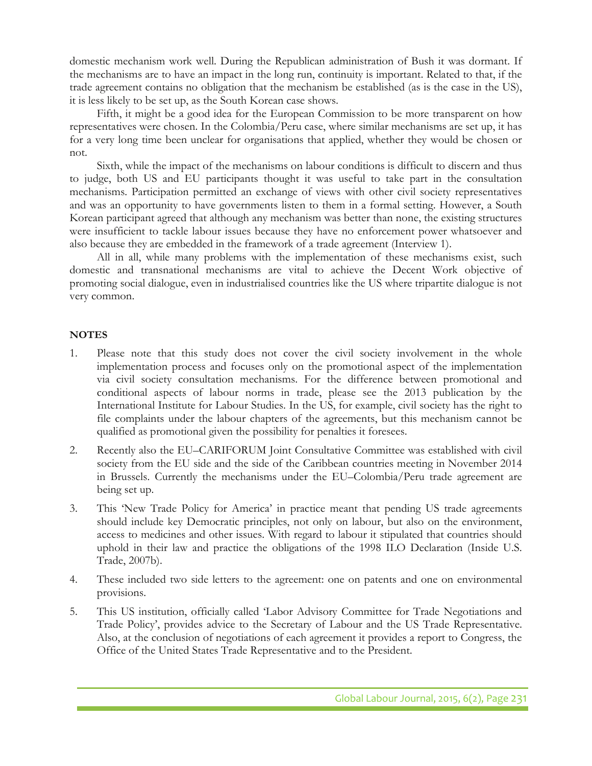domestic mechanism work well. During the Republican administration of Bush it was dormant. If the mechanisms are to have an impact in the long run, continuity is important. Related to that, if the trade agreement contains no obligation that the mechanism be established (as is the case in the US), it is less likely to be set up, as the South Korean case shows.

Fifth, it might be a good idea for the European Commission to be more transparent on how representatives were chosen. In the Colombia/Peru case, where similar mechanisms are set up, it has for a very long time been unclear for organisations that applied, whether they would be chosen or not.

Sixth, while the impact of the mechanisms on labour conditions is difficult to discern and thus to judge, both US and EU participants thought it was useful to take part in the consultation mechanisms. Participation permitted an exchange of views with other civil society representatives and was an opportunity to have governments listen to them in a formal setting. However, a South Korean participant agreed that although any mechanism was better than none, the existing structures were insufficient to tackle labour issues because they have no enforcement power whatsoever and also because they are embedded in the framework of a trade agreement (Interview 1).

All in all, while many problems with the implementation of these mechanisms exist, such domestic and transnational mechanisms are vital to achieve the Decent Work objective of promoting social dialogue, even in industrialised countries like the US where tripartite dialogue is not very common.

## **NOTES**

- 1. Please note that this study does not cover the civil society involvement in the whole implementation process and focuses only on the promotional aspect of the implementation via civil society consultation mechanisms. For the difference between promotional and conditional aspects of labour norms in trade, please see the 2013 publication by the International Institute for Labour Studies. In the US, for example, civil society has the right to file complaints under the labour chapters of the agreements, but this mechanism cannot be qualified as promotional given the possibility for penalties it foresees.
- 2. Recently also the EU–CARIFORUM Joint Consultative Committee was established with civil society from the EU side and the side of the Caribbean countries meeting in November 2014 in Brussels. Currently the mechanisms under the EU–Colombia/Peru trade agreement are being set up.
- 3. This 'New Trade Policy for America' in practice meant that pending US trade agreements should include key Democratic principles, not only on labour, but also on the environment, access to medicines and other issues. With regard to labour it stipulated that countries should uphold in their law and practice the obligations of the 1998 ILO Declaration (Inside U.S. Trade, 2007b).
- 4. These included two side letters to the agreement: one on patents and one on environmental provisions.
- 5. This US institution, officially called 'Labor Advisory Committee for Trade Negotiations and Trade Policy', provides advice to the Secretary of Labour and the US Trade Representative. Also, at the conclusion of negotiations of each agreement it provides a report to Congress, the Office of the United States Trade Representative and to the President.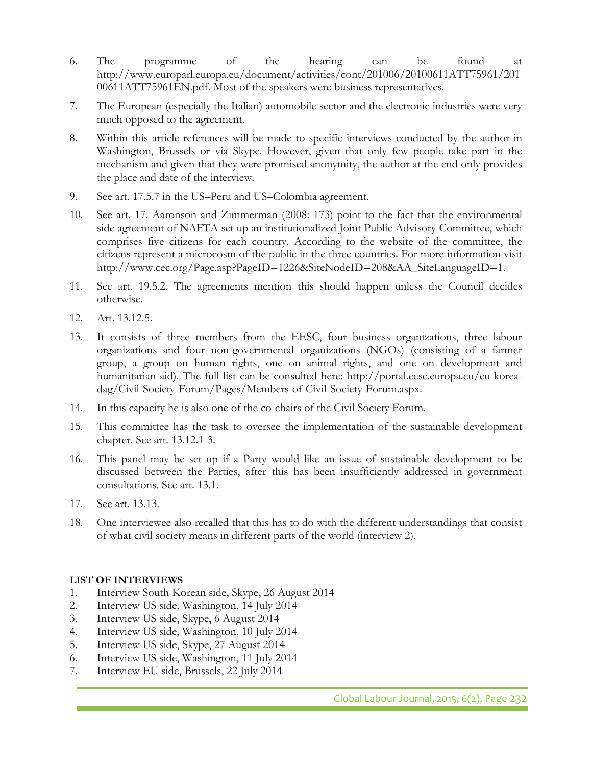- 6. The programme of the hearing can be found at http://www.europarl.europa.eu/document/activities/cont/201006/20100611ATT75961/201 00611ATT75961EN.pdf. Most of the speakers were business representatives.
- 7. The European (especially the Italian) automobile sector and the electronic industries were very much opposed to the agreement.
- 8. Within this article references will be made to specific interviews conducted by the author in Washington, Brussels or via Skype. However, given that only few people take part in the mechanism and given that they were promised anonymity, the author at the end only provides the place and date of the interview.
- 9. See art. 17.5.7 in the US–Peru and US–Colombia agreement.
- 10. See art. 17. Aaronson and Zimmerman (2008: 173) point to the fact that the environmental side agreement of NAFTA set up an institutionalized Joint Public Advisory Committee, which comprises five citizens for each country. According to the website of the committee, the citizens represent a microcosm of the public in the three countries. For more information visit http://www.cec.org/Page.asp?PageID=1226&SiteNodeID=208&AA\_SiteLanguageID=1.
- 11. See art. 19.5.2. The agreements mention this should happen unless the Council decides otherwise.
- 12. Art. 13.12.5.
- 13. It consists of three members from the EESC, four business organizations, three labour organizations and four non-governmental organizations (NGOs) (consisting of a farmer group, a group on human rights, one on animal rights, and one on development and humanitarian aid). The full list can be consulted here: http://portal.eesc.europa.eu/eu-koreadag/Civil-Society-Forum/Pages/Members-of-Civil-Society-Forum.aspx.
- 14. In this capacity he is also one of the co-chairs of the Civil Society Forum.
- 15. This committee has the task to oversee the implementation of the sustainable development chapter. See art. 13.12.1-3.
- 16. This panel may be set up if a Party would like an issue of sustainable development to be discussed between the Parties, after this has been insufficiently addressed in government consultations. See art. 13.1.
- 17. See art. 13.13.
- 18. One interviewee also recalled that this has to do with the different understandings that consist of what civil society means in different parts of the world (interview 2).

# **LIST OF INTERVIEWS**

- 1. Interview South Korean side, Skype, 26 August 2014
- 2. Interview US side, Washington, 14 July 2014
- 3. Interview US side, Skype, 6 August 2014
- 4. Interview US side, Washington, 10 July 2014
- 5. Interview US side, Skype, 27 August 2014
- 6. Interview US side, Washington, 11 July 2014
- 7. Interview EU side, Brussels, 22 July 2014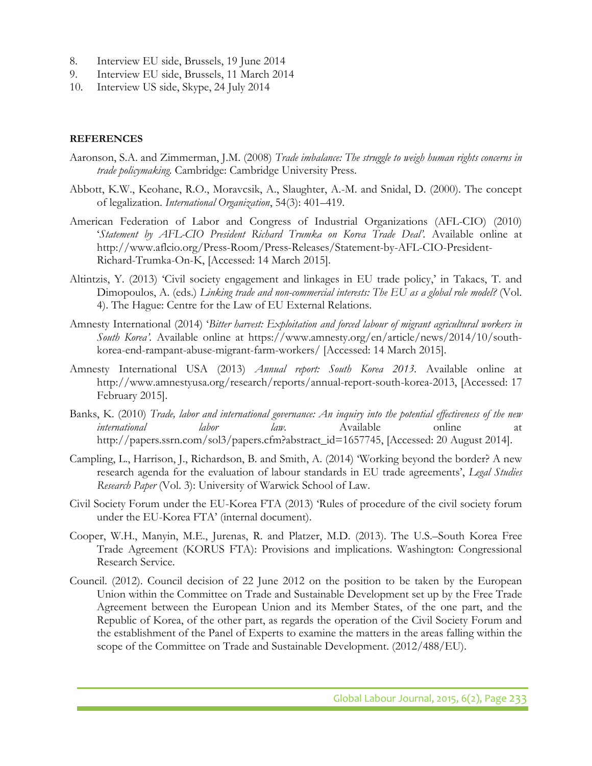- 8. Interview EU side, Brussels, 19 June 2014
- 9. Interview EU side, Brussels, 11 March 2014
- 10. Interview US side, Skype, 24 July 2014

### **REFERENCES**

- Aaronson, S.A. and Zimmerman, J.M. (2008) *Trade imbalance: The struggle to weigh human rights concerns in trade policymaking.* Cambridge: Cambridge University Press.
- Abbott, K.W., Keohane, R.O., Moravcsik, A., Slaughter, A.-M. and Snidal, D. (2000). The concept of legalization. *International Organization*, 54(3): 401–419.
- American Federation of Labor and Congress of Industrial Organizations (AFL-CIO) (2010) '*Statement by AFL-CIO President Richard Trumka on Korea Trade Deal'.* Available online at http://www.aflcio.org/Press-Room/Press-Releases/Statement-by-AFL-CIO-President-Richard-Trumka-On-K, [Accessed: 14 March 2015].
- Altintzis, Y. (2013) 'Civil society engagement and linkages in EU trade policy,' in Takacs, T. and Dimopoulos, A. (eds.) *Linking trade and non-commercial interests: The EU as a global role model?* (Vol. 4). The Hague: Centre for the Law of EU External Relations.
- Amnesty International (2014) '*Bitter harvest: Exploitation and forced labour of migrant agricultural workers in South Korea'.* Available online at https://www.amnesty.org/en/article/news/2014/10/southkorea-end-rampant-abuse-migrant-farm-workers/ [Accessed: 14 March 2015].
- Amnesty International USA (2013) *Annual report: South Korea 2013.* Available online at http://www.amnestyusa.org/research/reports/annual-report-south-korea-2013, [Accessed: 17 February 2015].
- Banks, K. (2010) *Trade, labor and international governance: An inquiry into the potential effectiveness of the new international labor law.* Available online at http://papers.ssrn.com/sol3/papers.cfm?abstract\_id=1657745, [Accessed: 20 August 2014].
- Campling, L., Harrison, J., Richardson, B. and Smith, A. (2014) 'Working beyond the border? A new research agenda for the evaluation of labour standards in EU trade agreements', *Legal Studies Research Paper* (Vol. 3): University of Warwick School of Law.
- Civil Society Forum under the EU-Korea FTA (2013) 'Rules of procedure of the civil society forum under the EU-Korea FTA' (internal document).
- Cooper, W.H., Manyin, M.E., Jurenas, R. and Platzer, M.D. (2013). The U.S.–South Korea Free Trade Agreement (KORUS FTA): Provisions and implications. Washington: Congressional Research Service.
- Council. (2012). Council decision of 22 June 2012 on the position to be taken by the European Union within the Committee on Trade and Sustainable Development set up by the Free Trade Agreement between the European Union and its Member States, of the one part, and the Republic of Korea, of the other part, as regards the operation of the Civil Society Forum and the establishment of the Panel of Experts to examine the matters in the areas falling within the scope of the Committee on Trade and Sustainable Development. (2012/488/EU).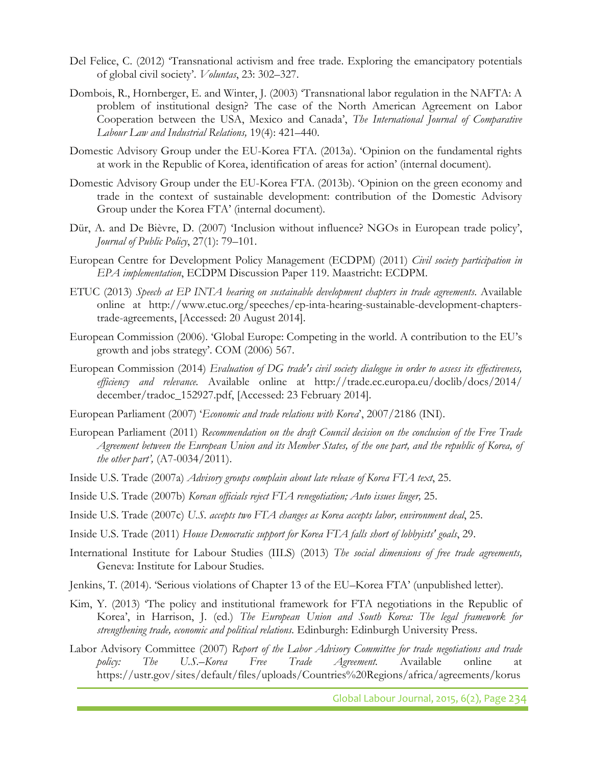- Del Felice, C. (2012) 'Transnational activism and free trade. Exploring the emancipatory potentials of global civil society'. *Voluntas*, 23: 302–327.
- Dombois, R., Hornberger, E. and Winter, J. (2003) 'Transnational labor regulation in the NAFTA: A problem of institutional design? The case of the North American Agreement on Labor Cooperation between the USA, Mexico and Canada', *The International Journal of Comparative Labour Law and Industrial Relations,* 19(4): 421–440.
- Domestic Advisory Group under the EU-Korea FTA. (2013a). 'Opinion on the fundamental rights at work in the Republic of Korea, identification of areas for action' (internal document)*.*
- Domestic Advisory Group under the EU-Korea FTA. (2013b). 'Opinion on the green economy and trade in the context of sustainable development: contribution of the Domestic Advisory Group under the Korea FTA' (internal document)*.*
- Dür, A. and De Bièvre, D. (2007) 'Inclusion without influence? NGOs in European trade policy', *Journal of Public Policy*, 27(1): 79–101.
- European Centre for Development Policy Management (ECDPM) (2011) *Civil society participation in EPA implementation*, ECDPM Discussion Paper 119. Maastricht: ECDPM.
- ETUC (2013) *Speech at EP INTA hearing on sustainable development chapters in trade agreements*. Available online at http://www.etuc.org/speeches/ep-inta-hearing-sustainable-development-chapterstrade-agreements, [Accessed: 20 August 2014].
- European Commission (2006). 'Global Europe: Competing in the world. A contribution to the EU's growth and jobs strategy'. COM (2006) 567.
- European Commission (2014) *Evaluation of DG trade's civil society dialogue in order to assess its effectiveness, efficiency and relevance.* Available online at http://trade.ec.europa.eu/doclib/docs/2014/ december/tradoc\_152927.pdf, [Accessed: 23 February 2014].
- European Parliament (2007) '*Economic and trade relations with Korea*', 2007/2186 (INI).
- European Parliament (2011) *Recommendation on the draft Council decision on the conclusion of the Free Trade Agreement between the European Union and its Member States, of the one part, and the republic of Korea, of the other part',* (A7-0034/2011).
- Inside U.S. Trade (2007a) *Advisory groups complain about late release of Korea FTA text*, 25.
- Inside U.S. Trade (2007b) *Korean officials reject FTA renegotiation; Auto issues linger,* 25.
- Inside U.S. Trade (2007c) *U.S. accepts two FTA changes as Korea accepts labor, environment deal*, 25.
- Inside U.S. Trade (2011) *House Democratic support for Korea FTA falls short of lobbyists' goals*, 29.
- International Institute for Labour Studies (IILS) (2013) *The social dimensions of free trade agreements,*  Geneva: Institute for Labour Studies.
- Jenkins, T. (2014). 'Serious violations of Chapter 13 of the EU–Korea FTA' (unpublished letter)*.*
- Kim, Y. (2013) 'The policy and institutional framework for FTA negotiations in the Republic of Korea', in Harrison, J. (ed.) *The European Union and South Korea: The legal framework for strengthening trade, economic and political relations.* Edinburgh: Edinburgh University Press.
- Labor Advisory Committee (2007) *Report of the Labor Advisory Committee for trade negotiations and trade policy: The U.S.–Korea Free Trade Agreement.* Available online at https://ustr.gov/sites/default/files/uploads/Countries%20Regions/africa/agreements/korus